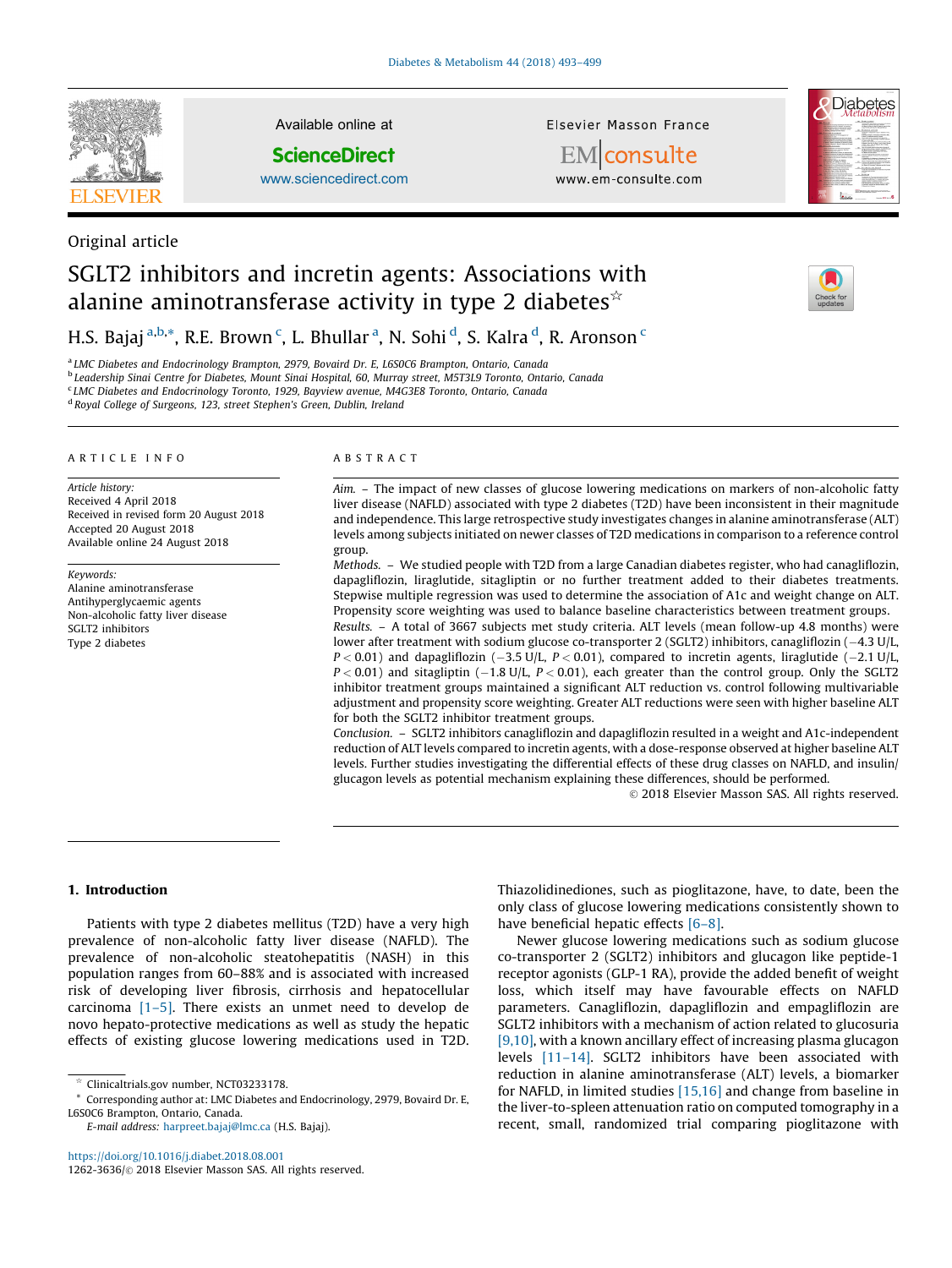

Original article

Available online at

**ScienceDirect** 

[www.sciencedirect.com](http://www.sciencedirect.com/science/journal/12623636)

Elsevier Masson France



EMconsulte www.em-consulte.com

# SGLT2 inhibitors and incretin agents: Associations with alanine aminotransferase activity in type 2 diabetes $\dot{\mathbf{x}}$

# H.S. Bajaj <sup>a,b,</sup>\*, R.E. Brown <sup>c</sup>, L. Bhullar <sup>a</sup>, N. Sohi <sup>d</sup>, S. Kalra <sup>d</sup>, R. Aronson <sup>c</sup>

<sup>a</sup> LMC Diabetes and Endocrinology Brampton, 2979, Bovaird Dr. E, L6S0C6 Brampton, Ontario, Canada

<sup>b</sup> Leadership Sinai Centre for Diabetes, Mount Sinai Hospital, 60, Murray street, M5T3L9 Toronto, Ontario, Canada

<sup>c</sup> LMC Diabetes and Endocrinology Toronto, 1929, Bayview avenue, M4G3E8 Toronto, Ontario, Canada

<sup>d</sup> Royal College of Surgeons, 123, street Stephen's Green, Dublin, Ireland

#### ARTICLE INFO

Article history: Received 4 April 2018 Received in revised form 20 August 2018 Accepted 20 August 2018 Available online 24 August 2018

Keywords: Alanine aminotransferase Antihyperglycaemic agents Non-alcoholic fatty liver disease SGLT2 inhibitors Type 2 diabetes

#### ABSTRACT

Aim. – The impact of new classes of glucose lowering medications on markers of non-alcoholic fatty liver disease (NAFLD) associated with type 2 diabetes (T2D) have been inconsistent in their magnitude and independence. This large retrospective study investigates changes in alanine aminotransferase (ALT) levels among subjects initiated on newer classes of T2D medications in comparison to a reference control group.

Methods. – We studied people with T2D from a large Canadian diabetes register, who had canagliflozin, dapagliflozin, liraglutide, sitagliptin or no further treatment added to their diabetes treatments. Stepwise multiple regression was used to determine the association of A1c and weight change on ALT. Propensity score weighting was used to balance baseline characteristics between treatment groups.

Results. – A total of 3667 subjects met study criteria. ALT levels (mean follow-up 4.8 months) were lower after treatment with sodium glucose co-transporter 2 (SGLT2) inhibitors, canagliflozin (-4.3 U/L,  $P < 0.01$ ) and dapagliflozin (-3.5 U/L,  $P < 0.01$ ), compared to incretin agents, liraglutide (-2.1 U/L,  $P < 0.01$ ) and sitagliptin (-1.8 U/L,  $P < 0.01$ ), each greater than the control group. Only the SGLT2 inhibitor treatment groups maintained a significant ALT reduction vs. control following multivariable adjustment and propensity score weighting. Greater ALT reductions were seen with higher baseline ALT for both the SGLT2 inhibitor treatment groups.

Conclusion. – SGLT2 inhibitors canagliflozin and dapagliflozin resulted in a weight and A1c-independent reduction of ALT levels compared to incretin agents, with a dose-response observed at higher baseline ALT levels. Further studies investigating the differential effects of these drug classes on NAFLD, and insulin/ glucagon levels as potential mechanism explaining these differences, should be performed.

 $©$  2018 Elsevier Masson SAS. All rights reserved.

# 1. Introduction

Patients with type 2 diabetes mellitus (T2D) have a very high prevalence of non-alcoholic fatty liver disease (NAFLD). The prevalence of non-alcoholic steatohepatitis (NASH) in this population ranges from 60–88% and is associated with increased risk of developing liver fibrosis, cirrhosis and hepatocellular carcinoma [\[1–5\].](#page-5-0) There exists an unmet need to develop de novo hepato-protective medications as well as study the hepatic effects of existing glucose lowering medications used in T2D.

<https://doi.org/10.1016/j.diabet.2018.08.001> 1262-3636/© 2018 Elsevier Masson SAS. All rights reserved. Thiazolidinediones, such as pioglitazone, have, to date, been the only class of glucose lowering medications consistently shown to have beneficial hepatic effects [6-8].

Newer glucose lowering medications such as sodium glucose co-transporter 2 (SGLT2) inhibitors and glucagon like peptide-1 receptor agonists (GLP-1 RA), provide the added benefit of weight loss, which itself may have favourable effects on NAFLD parameters. Canagliflozin, dapagliflozin and empagliflozin are SGLT2 inhibitors with a mechanism of action related to glucosuria [\[9,10\],](#page-5-0) with a known ancillary effect of increasing plasma glucagon levels [\[11–14\].](#page-5-0) SGLT2 inhibitors have been associated with reduction in alanine aminotransferase (ALT) levels, a biomarker for NAFLD, in limited studies [\[15,16\]](#page-5-0) and change from baseline in the liver-to-spleen attenuation ratio on computed tomography in a recent, small, randomized trial comparing pioglitazone with

<sup>§</sup> Clinicaltrials.gov number, NCT03233178.

Corresponding author at: LMC Diabetes and Endocrinology, 2979, Bovaird Dr. E, L6S0C6 Brampton, Ontario, Canada.

E-mail address: [harpreet.bajaj@lmc.ca](mailto:harpreet.bajaj@lmc.ca) (H.S. Bajaj).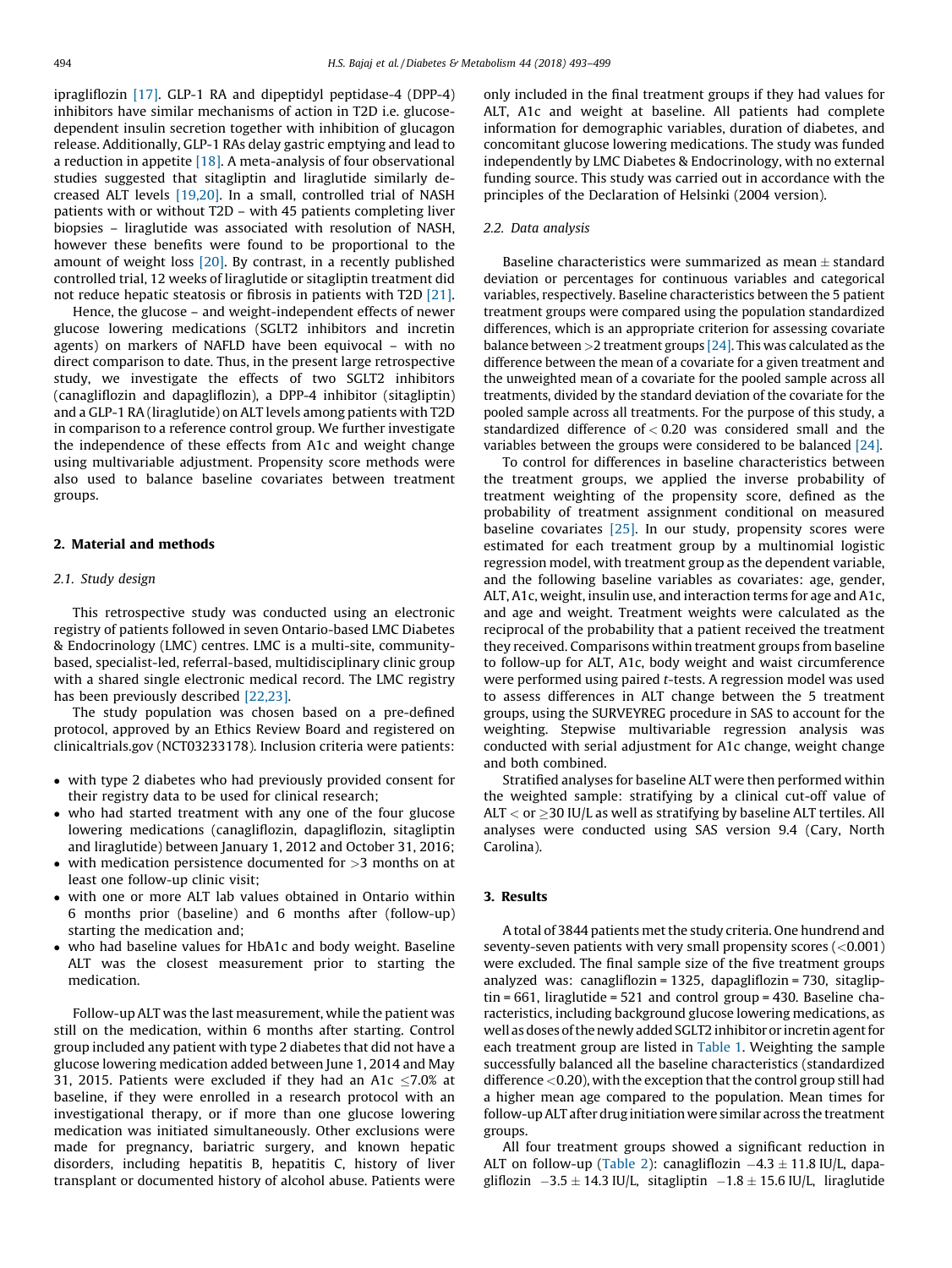ipragliflozin [\[17\]](#page-5-0). GLP-1 RA and dipeptidyl peptidase-4 (DPP-4) inhibitors have similar mechanisms of action in T2D i.e. glucosedependent insulin secretion together with inhibition of glucagon release. Additionally, GLP-1 RAs delay gastric emptying and lead to a reduction in appetite  $[18]$ . A meta-analysis of four observational studies suggested that sitagliptin and liraglutide similarly decreased ALT levels [\[19,20\]](#page-5-0). In a small, controlled trial of NASH patients with or without T2D – with 45 patients completing liver biopsies – liraglutide was associated with resolution of NASH, however these benefits were found to be proportional to the amount of weight loss [\[20\]](#page-5-0). By contrast, in a recently published controlled trial, 12 weeks of liraglutide or sitagliptin treatment did not reduce hepatic steatosis or fibrosis in patients with T2D [\[21\].](#page-5-0)

Hence, the glucose – and weight-independent effects of newer glucose lowering medications (SGLT2 inhibitors and incretin agents) on markers of NAFLD have been equivocal – with no direct comparison to date. Thus, in the present large retrospective study, we investigate the effects of two SGLT2 inhibitors (canagliflozin and dapagliflozin), a DPP-4 inhibitor (sitagliptin) and a GLP-1 RA (liraglutide) on ALT levels among patients with T2D in comparison to a reference control group. We further investigate the independence of these effects from A1c and weight change using multivariable adjustment. Propensity score methods were also used to balance baseline covariates between treatment groups.

# 2. Material and methods

#### 2.1. Study design

This retrospective study was conducted using an electronic registry of patients followed in seven Ontario-based LMC Diabetes & Endocrinology (LMC) centres. LMC is a multi-site, communitybased, specialist-led, referral-based, multidisciplinary clinic group with a shared single electronic medical record. The LMC registry has been previously described [\[22,23\]](#page-5-0).

The study population was chosen based on a pre-defined protocol, approved by an Ethics Review Board and registered on clinicaltrials.gov (NCT03233178). Inclusion criteria were patients:

- with type 2 diabetes who had previously provided consent for their registry data to be used for clinical research;
- who had started treatment with any one of the four glucose lowering medications (canagliflozin, dapagliflozin, sitagliptin and liraglutide) between January 1, 2012 and October 31, 2016;
- $\bullet$  with medication persistence documented for  $>3$  months on at least one follow-up clinic visit;
- with one or more ALT lab values obtained in Ontario within 6 months prior (baseline) and 6 months after (follow-up) starting the medication and;
- who had baseline values for HbA1c and body weight. Baseline ALT was the closest measurement prior to starting the medication.

Follow-up ALT was the last measurement, while the patient was still on the medication, within 6 months after starting. Control group included any patient with type 2 diabetes that did not have a glucose lowering medication added between June 1, 2014 and May 31, 2015. Patients were excluded if they had an A1c  $\leq$ 7.0% at baseline, if they were enrolled in a research protocol with an investigational therapy, or if more than one glucose lowering medication was initiated simultaneously. Other exclusions were made for pregnancy, bariatric surgery, and known hepatic disorders, including hepatitis B, hepatitis C, history of liver transplant or documented history of alcohol abuse. Patients were only included in the final treatment groups if they had values for ALT, A1c and weight at baseline. All patients had complete information for demographic variables, duration of diabetes, and concomitant glucose lowering medications. The study was funded independently by LMC Diabetes & Endocrinology, with no external funding source. This study was carried out in accordance with the principles of the Declaration of Helsinki (2004 version).

#### 2.2. Data analysis

Baseline characteristics were summarized as mean  $\pm$  standard deviation or percentages for continuous variables and categorical variables, respectively. Baseline characteristics between the 5 patient treatment groups were compared using the population standardized differences, which is an appropriate criterion for assessing covariate balance between  $>$ 2 treatment groups [\[24\].](#page-5-0) This was calculated as the difference between the mean of a covariate for a given treatment and the unweighted mean of a covariate for the pooled sample across all treatments, divided by the standard deviation of the covariate for the pooled sample across all treatments. For the purpose of this study, a standardized difference of < 0.20 was considered small and the variables between the groups were considered to be balanced [\[24\].](#page-5-0)

To control for differences in baseline characteristics between the treatment groups, we applied the inverse probability of treatment weighting of the propensity score, defined as the probability of treatment assignment conditional on measured baseline covariates [\[25\]](#page-5-0). In our study, propensity scores were estimated for each treatment group by a multinomial logistic regression model, with treatment group as the dependent variable, and the following baseline variables as covariates: age, gender, ALT, A1c, weight, insulin use, and interaction terms for age and A1c, and age and weight. Treatment weights were calculated as the reciprocal of the probability that a patient received the treatment they received. Comparisons within treatment groups from baseline to follow-up for ALT, A1c, body weight and waist circumference were performed using paired t-tests. A regression model was used to assess differences in ALT change between the 5 treatment groups, using the SURVEYREG procedure in SAS to account for the weighting. Stepwise multivariable regression analysis was conducted with serial adjustment for A1c change, weight change and both combined.

Stratified analyses for baseline ALT were then performed within the weighted sample: stratifying by a clinical cut-off value of ALT  $<$  or  $\geq$ 30 IU/L as well as stratifying by baseline ALT tertiles. All analyses were conducted using SAS version 9.4 (Cary, North Carolina).

# 3. Results

A total of 3844 patients met the study criteria. One hundrend and seventy-seven patients with very small propensity scores  $(<0.001$ ) were excluded. The final sample size of the five treatment groups analyzed was: canagliflozin = 1325, dapagliflozin = 730, sitagliptin = 661, liraglutide = 521 and control group = 430. Baseline characteristics, including background glucose lowering medications, as well as doses of the newly added SGLT2 inhibitor or incretin agent for each treatment group are listed in [Table 1.](#page-2-0) Weighting the sample successfully balanced all the baseline characteristics (standardized difference <0.20), with the exception that the control group still had a higher mean age compared to the population. Mean times for follow-up ALT after drug initiation were similar across the treatment groups.

All four treatment groups showed a significant reduction in ALT on follow-up [\(Table 2\)](#page-2-0): canagliflozin  $-4.3 \pm 11.8$  IU/L, dapagliflozin  $-3.5 \pm 14.3$  IU/L, sitagliptin  $-1.8 \pm 15.6$  IU/L, liraglutide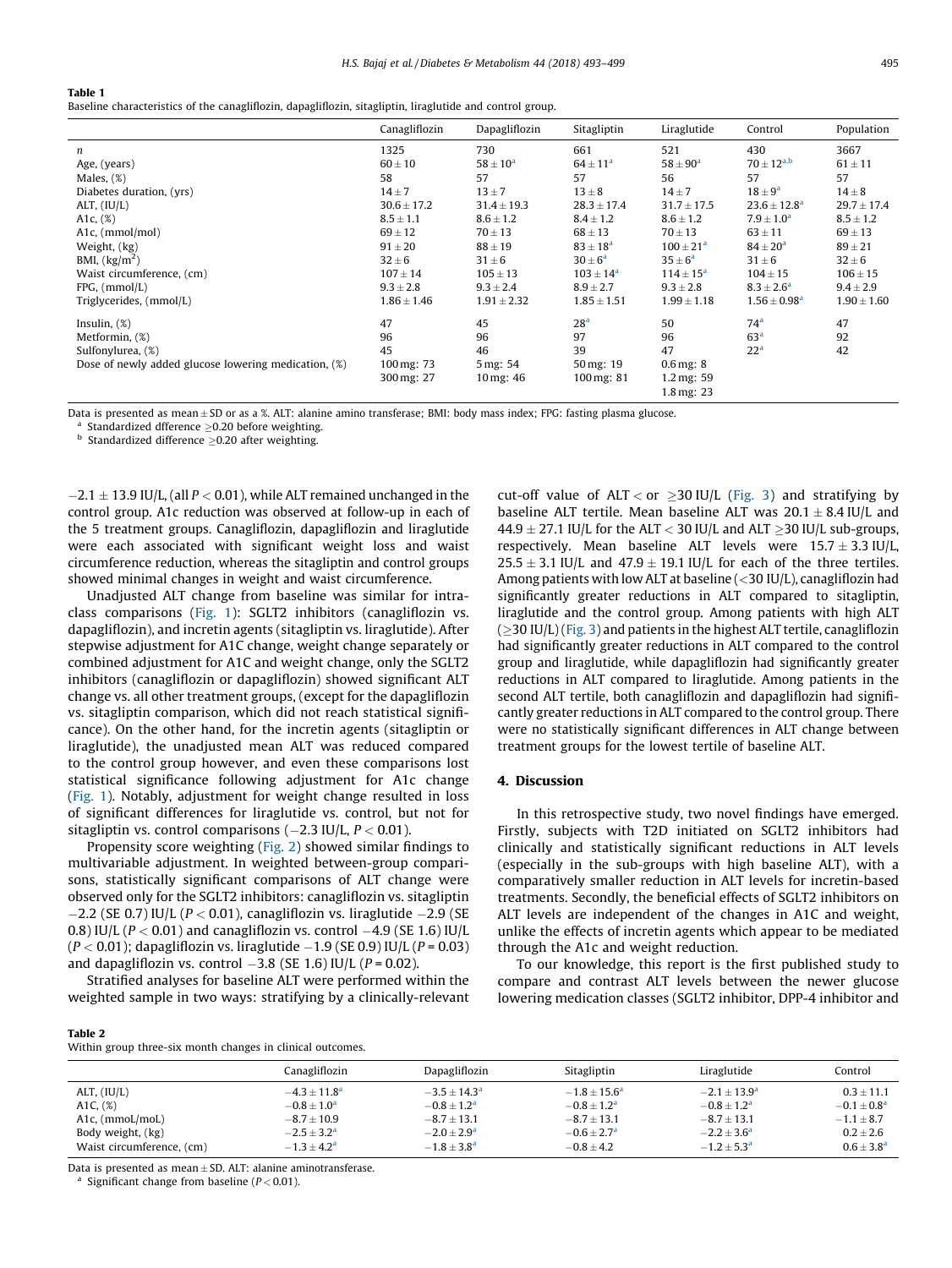#### <span id="page-2-0"></span>Table 1

Baseline characteristics of the canagliflozin, dapagliflozin, sitagliptin, liraglutide and control group.

|                                                      | Canagliflozin   | Dapagliflozin           | Sitagliptin              | Liraglutide              | Control                 | Population      |
|------------------------------------------------------|-----------------|-------------------------|--------------------------|--------------------------|-------------------------|-----------------|
| $\boldsymbol{n}$                                     | 1325            | 730                     | 661                      | 521                      | 430                     | 3667            |
| Age, (years)                                         | $60 \pm 10$     | $58 \pm 10^{\rm a}$     | $64 \pm 11^{a}$          | $58 \pm 90^{\circ}$      | $70 \pm 12^{a,b}$       | $61 \pm 11$     |
| Males, $(\%)$                                        | 58              | 57                      | 57                       | 56                       | 57                      | 57              |
| Diabetes duration, (yrs)                             | $14 \pm 7$      | $13 \pm 7$              | $13 \pm 8$               | $14 \pm 7$               | $18 \pm 9^a$            | $14 \pm 8$      |
| ALT, $(IU/L)$                                        | $30.6 \pm 17.2$ | $31.4 \pm 19.3$         | $28.3 \pm 17.4$          | $31.7 \pm 17.5$          | $23.6 \pm 12.8^{\circ}$ | $29.7 \pm 17.4$ |
| A1c, $(\%)$                                          | $8.5 \pm 1.1$   | $8.6 \pm 1.2$           | $8.4 \pm 1.2$            | $8.6 \pm 1.2$            | $7.9 \pm 1.0^a$         | $8.5 \pm 1.2$   |
| A <sub>1</sub> c, (mmol/mol)                         | $69 \pm 12$     | $70 \pm 13$             | $68 \pm 13$              | $70 \pm 13$              | $63 \pm 11$             | $69 \pm 13$     |
| Weight, (kg)                                         | $91 \pm 20$     | $88 \pm 19$             | $83 \pm 18^{a}$          | $100 \pm 21^{a}$         | $84 \pm 20^{\circ}$     | $89 \pm 21$     |
| BMI, $\left(\frac{kg}{m^2}\right)$                   | $32 \pm 6$      | $31 \pm 6$              | $30 \pm 6^a$             | $35 \pm 6^a$             | $31 \pm 6$              | $32 \pm 6$      |
| Waist circumference, (cm)                            | $107 \pm 14$    | $105 \pm 13$            | $103 \pm 14^a$           | $114 \pm 15^a$           | $104 \pm 15$            | $106 \pm 15$    |
| $FPG$ , $(mmol/L)$                                   | $9.3 \pm 2.8$   | $9.3 \pm 2.4$           | $8.9 \pm 2.7$            | $9.3 \pm 2.8$            | $8.3 \pm 2.6^a$         | $9.4 \pm 2.9$   |
| Triglycerides, (mmol/L)                              | $1.86 \pm 1.46$ | $1.91 \pm 2.32$         | $1.85 \pm 1.51$          | $1.99 \pm 1.18$          | $1.56 \pm 0.98^a$       | $1.90 \pm 1.60$ |
| Insulin, $(\%)$                                      | 47              | 45                      | 28 <sup>a</sup>          | 50                       | 74 <sup>a</sup>         | 47              |
| Metformin, (%)                                       | 96              | 96                      | 97                       | 96                       | 63 <sup>a</sup>         | 92              |
| Sulfonylurea, (%)                                    | 45              | 46                      | 39                       | 47                       | 22 <sup>a</sup>         | 42              |
| Dose of newly added glucose lowering medication, (%) | 100 mg: 73      | 5 mg: 54                | $50 \,\mathrm{mg}$ : 19  | $0.6$ mg: $8$            |                         |                 |
|                                                      | 300 mg: 27      | $10 \,\mathrm{mg}$ : 46 | $100 \,\mathrm{mg}$ : 81 | $1.2 \,\mathrm{mg}$ : 59 |                         |                 |
|                                                      |                 |                         |                          | $1.8 \,\mathrm{mg}$ : 23 |                         |                 |

Data is presented as mean  $\pm$  SD or as a %. ALT: alanine amino transferase; BMI: body mass index; FPG: fasting plasma glucose.

Standardized dfference  $\geq$ 0.20 before weighting.

 $<sup>b</sup>$  Standardized difference  $\geq$ 0.20 after weighting.</sup>

 $-2.1\pm13.9$  IU/L, (all  $P$   $<$  0.01), while ALT remained unchanged in the control group. A1c reduction was observed at follow-up in each of the 5 treatment groups. Canagliflozin, dapagliflozin and liraglutide were each associated with significant weight loss and waist circumference reduction, whereas the sitagliptin and control groups showed minimal changes in weight and waist circumference.

Unadjusted ALT change from baseline was similar for intraclass comparisons [\(Fig. 1](#page-3-0)): SGLT2 inhibitors (canagliflozin vs. dapagliflozin), and incretin agents (sitagliptin vs. liraglutide). After stepwise adjustment for A1C change, weight change separately or combined adjustment for A1C and weight change, only the SGLT2 inhibitors (canagliflozin or dapagliflozin) showed significant ALT change vs. all other treatment groups, (except for the dapagliflozin vs. sitagliptin comparison, which did not reach statistical significance). On the other hand, for the incretin agents (sitagliptin or liraglutide), the unadjusted mean ALT was reduced compared to the control group however, and even these comparisons lost statistical significance following adjustment for A1c change ([Fig. 1](#page-3-0)). Notably, adjustment for weight change resulted in loss of significant differences for liraglutide vs. control, but not for sitagliptin vs. control comparisons (–2.3 IU/L,  $P$  < 0.01).

Propensity score weighting ([Fig. 2](#page-3-0)) showed similar findings to multivariable adjustment. In weighted between-group comparisons, statistically significant comparisons of ALT change were observed only for the SGLT2 inhibitors: canagliflozin vs. sitagliptin  $-2.2$  (SE 0.7) IU/L (P < 0.01), canagliflozin vs. liraglutide  $-2.9$  (SE 0.8) IU/L (P  $<$  0.01) and canagliflozin vs. control  $-4.9$  (SE 1.6) IU/L (P  $<$  0.01); dapagliflozin vs. liraglutide  $-1.9$  (SE 0.9) IU/L (P = 0.03) and dapagliflozin vs. control  $-3.8$  (SE 1.6) IU/L (P = 0.02).

Stratified analyses for baseline ALT were performed within the weighted sample in two ways: stratifying by a clinically-relevant cut-off value of ALT < or  $\geq$  30 IU/L ([Fig. 3\)](#page-4-0) and stratifying by baseline ALT tertile. Mean baseline ALT was  $20.1 \pm 8.4$  IU/L and  $44.9 \pm 27.1$  IU/L for the ALT < 30 IU/L and ALT  $\geq$ 30 IU/L sub-groups, respectively. Mean baseline ALT levels were  $15.7 \pm 3.3$  IU/L,  $25.5 \pm 3.1$  IU/L and  $47.9 \pm 19.1$  IU/L for each of the three tertiles. Among patients with low ALT at baseline (<30 IU/L), canagliflozin had significantly greater reductions in ALT compared to sitagliptin, liraglutide and the control group. Among patients with high ALT  $(>30$  IU/L) [\(Fig. 3](#page-4-0)) and patients in the highest ALT tertile, canagliflozin had significantly greater reductions in ALT compared to the control group and liraglutide, while dapagliflozin had significantly greater reductions in ALT compared to liraglutide. Among patients in the second ALT tertile, both canagliflozin and dapagliflozin had significantly greater reductions in ALT compared to the control group. There were no statistically significant differences in ALT change between treatment groups for the lowest tertile of baseline ALT.

### 4. Discussion

In this retrospective study, two novel findings have emerged. Firstly, subjects with T2D initiated on SGLT2 inhibitors had clinically and statistically significant reductions in ALT levels (especially in the sub-groups with high baseline ALT), with a comparatively smaller reduction in ALT levels for incretin-based treatments. Secondly, the beneficial effects of SGLT2 inhibitors on ALT levels are independent of the changes in A1C and weight, unlike the effects of incretin agents which appear to be mediated through the A1c and weight reduction.

To our knowledge, this report is the first published study to compare and contrast ALT levels between the newer glucose lowering medication classes (SGLT2 inhibitor, DPP-4 inhibitor and

#### Table 2

Within group three-six month changes in clinical outcomes.

|                           | Canagliflozin   | Dapagliflozin          | Sitagliptin           | Liraglutide           | Control        |
|---------------------------|-----------------|------------------------|-----------------------|-----------------------|----------------|
| ALT, $(IU/L)$             | $-4.3 + 11.8a$  | $-3.5 + 14.3a$         | $-1.8 + 15.6^{\circ}$ | $-2.1 + 13.9^{\circ}$ | $0.3 + 11.1$   |
| A1C, $(\%)$               | $-0.8 + 1.0a$   | $-0.8 \pm 1.2^{\rm a}$ | $-0.8 + 1.2a$         | $-0.8 + 1.2a$         | $-0.1 + 0.8a$  |
| A1c, (mmoL/moL)           | $-8.7 \pm 10.9$ | $-8.7 \pm 13.1$        | $-8.7 + 13.1$         | $-8.7 + 13.1$         | $-1.1 \pm 8.7$ |
| Body weight, (kg)         | $-2.5 + 3.2a$   | $-2.0 + 2.9a$          | $-0.6 + 2.7a$         | $-2.2 + 3.6^{\circ}$  | $0.2 \pm 2.6$  |
| Waist circumference, (cm) | $-1.3 + 4.2a$   | $-1.8 + 3.8a$          | $-0.8 + 4.2$          | $-1.2 + 5.3a$         | $0.6 + 3.8a$   |

Data is presented as mean  $\pm$  SD. ALT: alanine aminotransferase.

Significant change from baseline ( $P < 0.01$ ).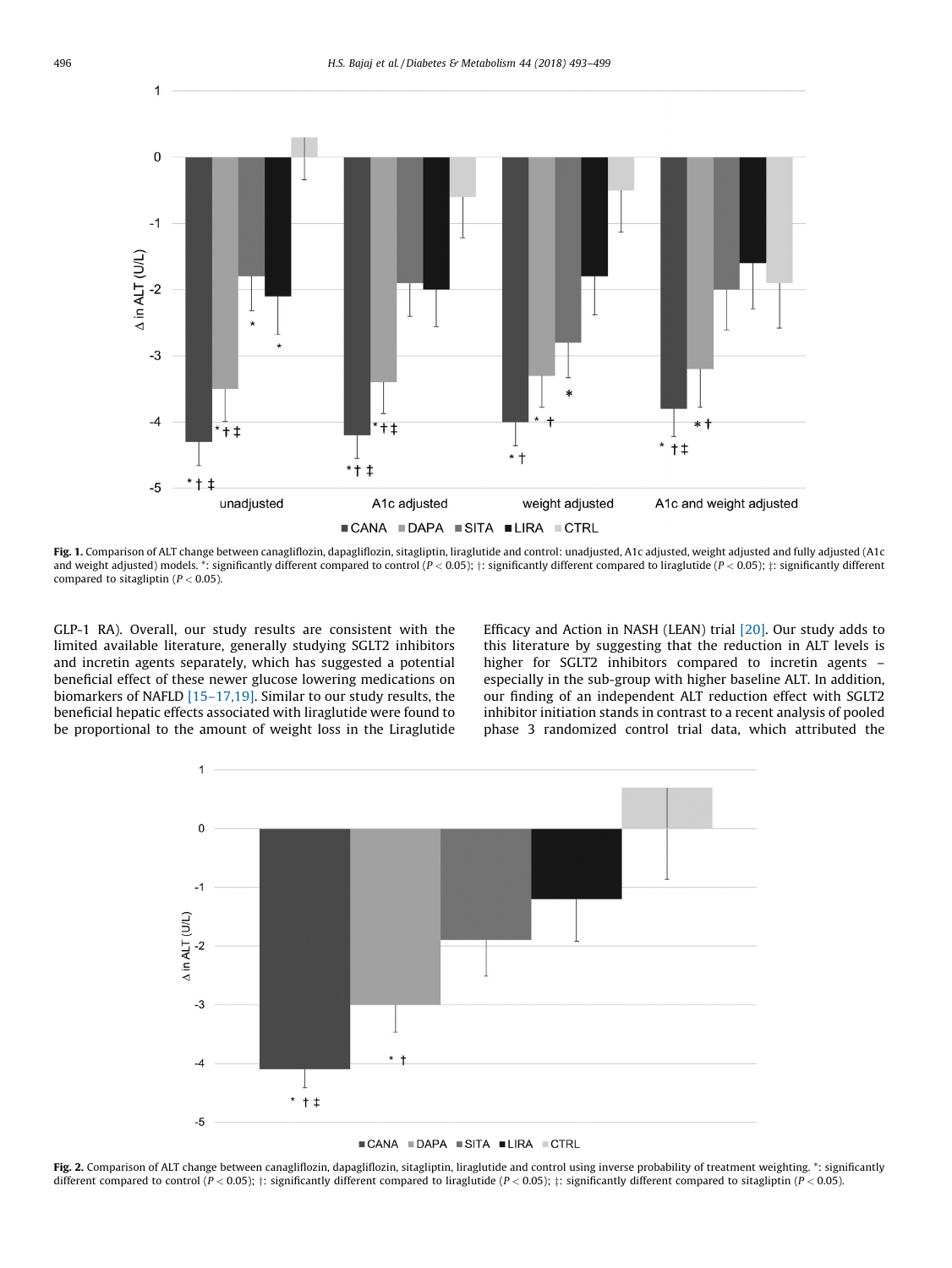

Fig. 1. Comparison of ALT change between canagliflozin, dapagliflozin, sitagliptin, liraglutide and control: unadjusted, A1c adjusted, weight adjusted and fully adjusted (A1c and weight adjusted) models. \*: significantly different compared to control ( $P < 0.05$ );  $\pm$ : significantly different compared to liraglutide ( $P < 0.05$ );  $\pm$ : significantly different compared to sitagliptin ( $P < 0.05$ ).

GLP-1 RA). Overall, our study results are consistent with the limited available literature, generally studying SGLT2 inhibitors and incretin agents separately, which has suggested a potential beneficial effect of these newer glucose lowering medications on biomarkers of NAFLD [\[15–17,19\]](#page-5-0). Similar to our study results, the beneficial hepatic effects associated with liraglutide were found to be proportional to the amount of weight loss in the Liraglutide Efficacy and Action in NASH (LEAN) trial [\[20\].](#page-5-0) Our study adds to this literature by suggesting that the reduction in ALT levels is higher for SGLT2 inhibitors compared to incretin agents – especially in the sub-group with higher baseline ALT. In addition, our finding of an independent ALT reduction effect with SGLT2 inhibitor initiation stands in contrast to a recent analysis of pooled phase 3 randomized control trial data, which attributed the



Fig. 2. Comparison of ALT change between canagliflozin, dapagliflozin, sitagliptin, liraglutide and control using inverse probability of treatment weighting. \*: significantly different compared to control ( $P < 0.05$ );  $\pm$ : significantly different compared to liraglutide ( $P < 0.05$ );  $\pm$ : significantly different compared to sitagliptin ( $P < 0.05$ ).

<span id="page-3-0"></span> $\overline{\phantom{a}}$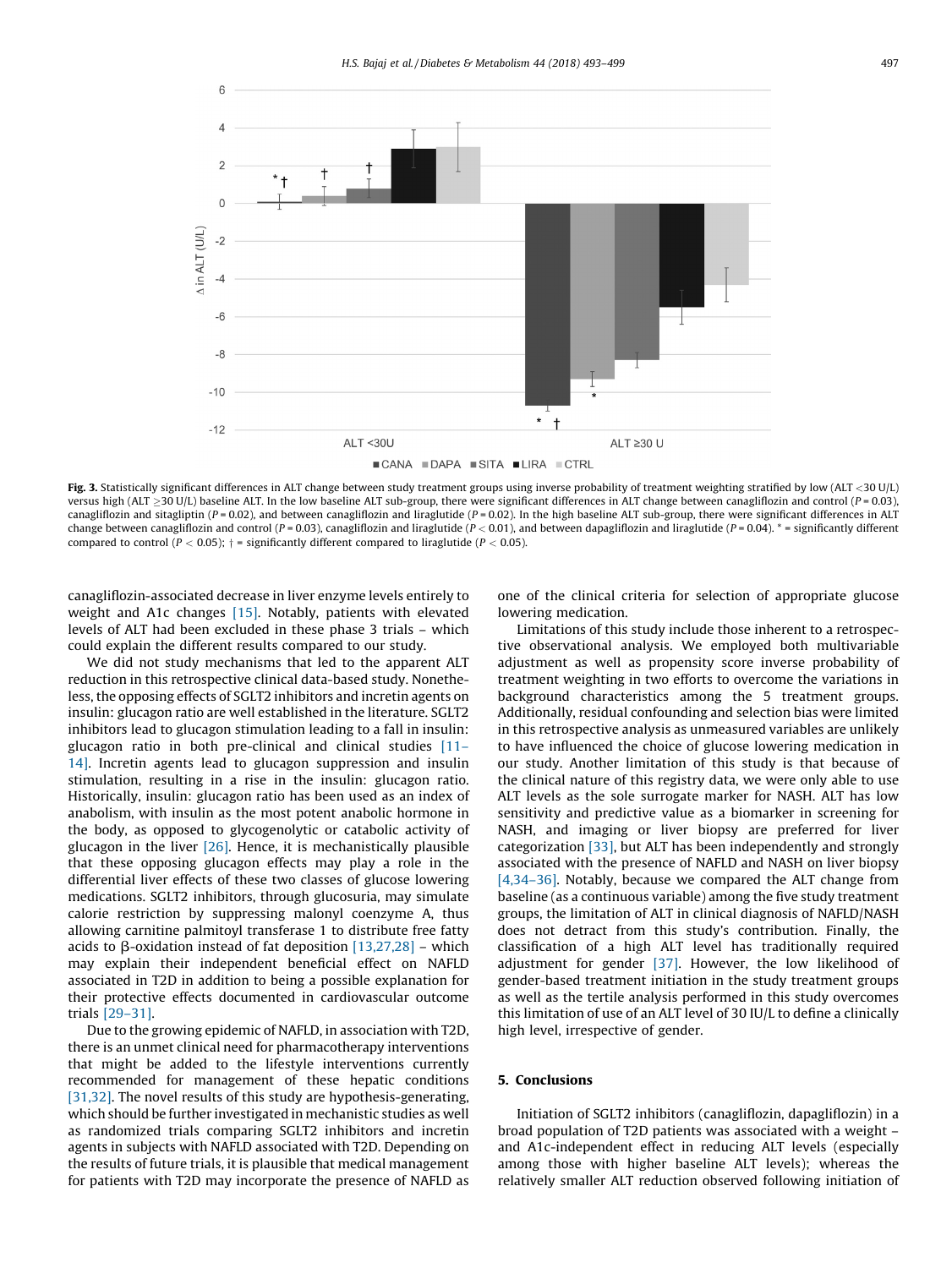<span id="page-4-0"></span>

Fig. 3. Statistically significant differences in ALT change between study treatment groups using inverse probability of treatment weighting stratified by low (ALT <30 U/L) versus high (ALT  $\geq$ 30 U/L) baseline ALT. In the low baseline ALT sub-group, there were significant differences in ALT change between canagliflozin and control (P = 0.03), canagliflozin and sitagliptin ( $P = 0.02$ ), and between canagliflozin and liraglutide ( $P = 0.02$ ). In the high baseline ALT sub-group, there were significant differences in ALT change between canagliflozin and control (P = 0.03), canagliflozin and liraglutide (P < 0.01), and between dapagliflozin and liraglutide (P = 0.04). \* = significantly different compared to control ( $P < 0.05$ );  $\dagger$  = significantly different compared to liraglutide ( $P < 0.05$ ).

canagliflozin-associated decrease in liver enzyme levels entirely to weight and A1c changes [\[15\]](#page-5-0). Notably, patients with elevated levels of ALT had been excluded in these phase 3 trials – which could explain the different results compared to our study.

We did not study mechanisms that led to the apparent ALT reduction in this retrospective clinical data-based study. Nonetheless, the opposing effects of SGLT2 inhibitors and incretin agents on insulin: glucagon ratio are well established in the literature. SGLT2 inhibitors lead to glucagon stimulation leading to a fall in insulin: glucagon ratio in both pre-clinical and clinical studies [\[11–](#page-5-0) [14\]](#page-5-0). Incretin agents lead to glucagon suppression and insulin stimulation, resulting in a rise in the insulin: glucagon ratio. Historically, insulin: glucagon ratio has been used as an index of anabolism, with insulin as the most potent anabolic hormone in the body, as opposed to glycogenolytic or catabolic activity of glucagon in the liver  $[26]$ . Hence, it is mechanistically plausible that these opposing glucagon effects may play a role in the differential liver effects of these two classes of glucose lowering medications. SGLT2 inhibitors, through glucosuria, may simulate calorie restriction by suppressing malonyl coenzyme A, thus allowing carnitine palmitoyl transferase 1 to distribute free fatty acids to  $\beta$ -oxidation instead of fat deposition [\[13,27,28\]](#page-5-0) – which may explain their independent beneficial effect on NAFLD associated in T2D in addition to being a possible explanation for their protective effects documented in cardiovascular outcome trials [\[29–31\].](#page-5-0)

Due to the growing epidemic of NAFLD, in association with T2D, there is an unmet clinical need for pharmacotherapy interventions that might be added to the lifestyle interventions currently recommended for management of these hepatic conditions [\[31,32\].](#page-5-0) The novel results of this study are hypothesis-generating, which should be further investigated in mechanistic studies as well as randomized trials comparing SGLT2 inhibitors and incretin agents in subjects with NAFLD associated with T2D. Depending on the results of future trials, it is plausible that medical management for patients with T2D may incorporate the presence of NAFLD as one of the clinical criteria for selection of appropriate glucose lowering medication.

Limitations of this study include those inherent to a retrospective observational analysis. We employed both multivariable adjustment as well as propensity score inverse probability of treatment weighting in two efforts to overcome the variations in background characteristics among the 5 treatment groups. Additionally, residual confounding and selection bias were limited in this retrospective analysis as unmeasured variables are unlikely to have influenced the choice of glucose lowering medication in our study. Another limitation of this study is that because of the clinical nature of this registry data, we were only able to use ALT levels as the sole surrogate marker for NASH. ALT has low sensitivity and predictive value as a biomarker in screening for NASH, and imaging or liver biopsy are preferred for liver categorization [\[33\]](#page-6-0), but ALT has been independently and strongly associated with the presence of NAFLD and NASH on liver biopsy [\[4,34–36\]](#page-5-0). Notably, because we compared the ALT change from baseline (as a continuous variable) among the five study treatment groups, the limitation of ALT in clinical diagnosis of NAFLD/NASH does not detract from this study's contribution. Finally, the classification of a high ALT level has traditionally required adjustment for gender [\[37\].](#page-6-0) However, the low likelihood of gender-based treatment initiation in the study treatment groups as well as the tertile analysis performed in this study overcomes this limitation of use of an ALT level of 30 IU/L to define a clinically high level, irrespective of gender.

#### 5. Conclusions

Initiation of SGLT2 inhibitors (canagliflozin, dapagliflozin) in a broad population of T2D patients was associated with a weight – and A1c-independent effect in reducing ALT levels (especially among those with higher baseline ALT levels); whereas the relatively smaller ALT reduction observed following initiation of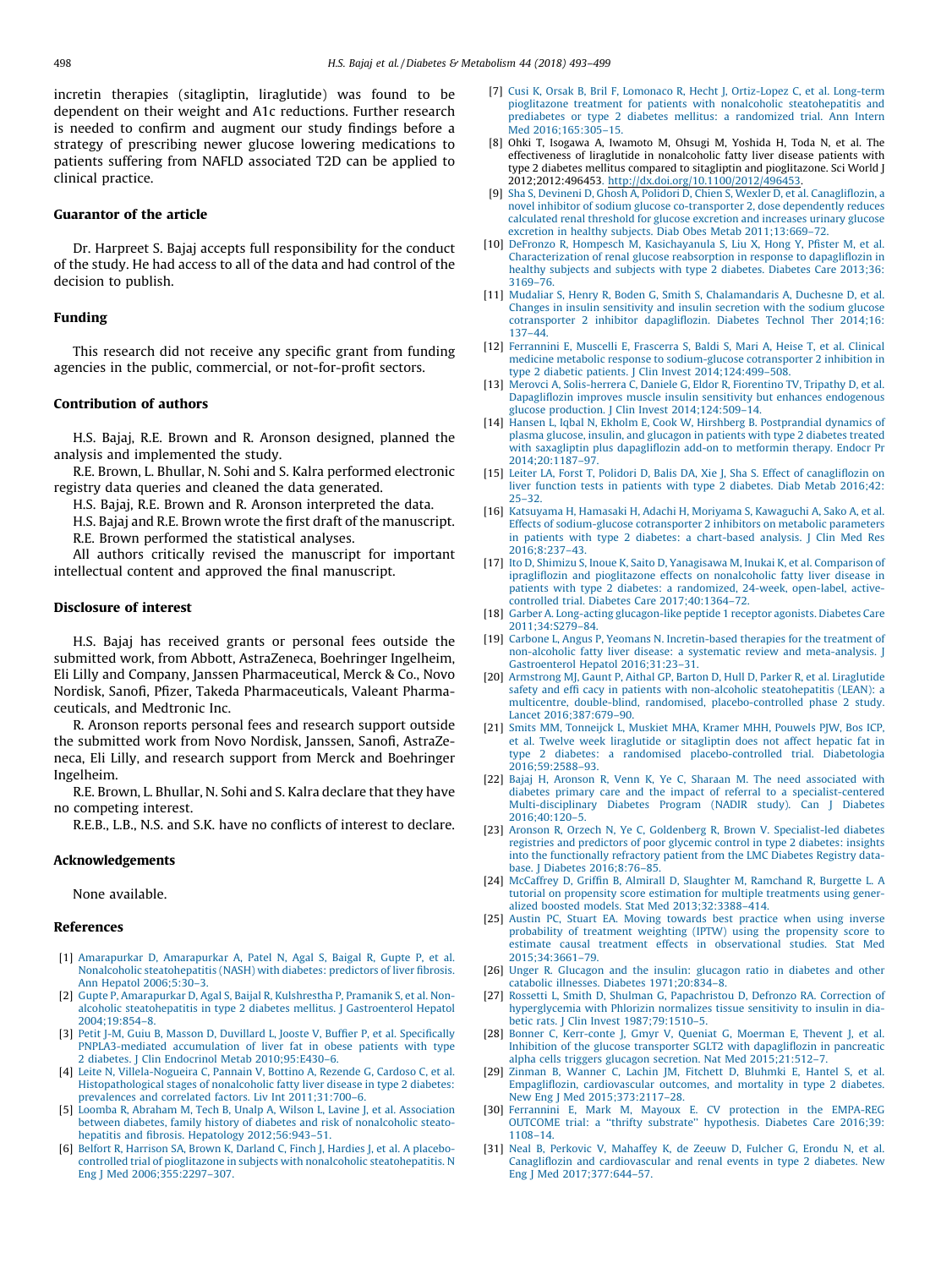<span id="page-5-0"></span>incretin therapies (sitagliptin, liraglutide) was found to be dependent on their weight and A1c reductions. Further research is needed to confirm and augment our study findings before a strategy of prescribing newer glucose lowering medications to patients suffering from NAFLD associated T2D can be applied to clinical practice.

### Guarantor of the article

Dr. Harpreet S. Bajaj accepts full responsibility for the conduct of the study. He had access to all of the data and had control of the decision to publish.

# Funding

This research did not receive any specific grant from funding agencies in the public, commercial, or not-for-profit sectors.

#### Contribution of authors

H.S. Bajaj, R.E. Brown and R. Aronson designed, planned the analysis and implemented the study.

R.E. Brown, L. Bhullar, N. Sohi and S. Kalra performed electronic registry data queries and cleaned the data generated.

H.S. Bajaj, R.E. Brown and R. Aronson interpreted the data.

H.S. Bajaj and R.E. Brown wrote the first draft of the manuscript.

R.E. Brown performed the statistical analyses.

All authors critically revised the manuscript for important intellectual content and approved the final manuscript.

#### Disclosure of interest

H.S. Bajaj has received grants or personal fees outside the submitted work, from Abbott, AstraZeneca, Boehringer Ingelheim, Eli Lilly and Company, Janssen Pharmaceutical, Merck & Co., Novo Nordisk, Sanofi, Pfizer, Takeda Pharmaceuticals, Valeant Pharmaceuticals, and Medtronic Inc.

R. Aronson reports personal fees and research support outside the submitted work from Novo Nordisk, Janssen, Sanofi, AstraZeneca, Eli Lilly, and research support from Merck and Boehringer Ingelheim.

R.E. Brown, L. Bhullar, N. Sohi and S. Kalra declare that they have no competing interest.

R.E.B., L.B., N.S. and S.K. have no conflicts of interest to declare.

#### Acknowledgements

None available.

# References

- [1] [Amarapurkar D, Amarapurkar A, Patel N, Agal S, Baigal R, Gupte P, et al.](http://refhub.elsevier.com/S1262-3636(18)30158-7/sbref0190) [Nonalcoholic steatohepatitis \(NASH\) with diabetes: predictors of liver fibrosis.](http://refhub.elsevier.com/S1262-3636(18)30158-7/sbref0190) [Ann Hepatol 2006;5:30–3](http://refhub.elsevier.com/S1262-3636(18)30158-7/sbref0190).
- [2] [Gupte P, Amarapurkar D, Agal S, Baijal R, Kulshrestha P, Pramanik S, et al. Non](http://refhub.elsevier.com/S1262-3636(18)30158-7/sbref0195)[alcoholic steatohepatitis in type 2 diabetes mellitus. J Gastroenterol Hepatol](http://refhub.elsevier.com/S1262-3636(18)30158-7/sbref0195) [2004;19:854–8](http://refhub.elsevier.com/S1262-3636(18)30158-7/sbref0195).
- [3] [Petit J-M, Guiu B, Masson D, Duvillard L, Jooste V, Buffier P, et al. Specifically](http://refhub.elsevier.com/S1262-3636(18)30158-7/sbref0200) [PNPLA3-mediated accumulation of liver fat in obese patients with type](http://refhub.elsevier.com/S1262-3636(18)30158-7/sbref0200) [2 diabetes. J Clin Endocrinol Metab 2010;95:E430–6.](http://refhub.elsevier.com/S1262-3636(18)30158-7/sbref0200)
- [4] [Leite N, Villela-Nogueira C, Pannain V, Bottino A, Rezende G, Cardoso C, et al.](http://refhub.elsevier.com/S1262-3636(18)30158-7/sbref0205) [Histopathological stages of nonalcoholic fatty liver disease in type 2 diabetes:](http://refhub.elsevier.com/S1262-3636(18)30158-7/sbref0205) [prevalences and correlated factors. Liv Int 2011;31:700–6.](http://refhub.elsevier.com/S1262-3636(18)30158-7/sbref0205)
- [5] [Loomba R, Abraham M, Tech B, Unalp A, Wilson L, Lavine J, et al. Association](http://refhub.elsevier.com/S1262-3636(18)30158-7/sbref0210) [between diabetes, family history of diabetes and risk of nonalcoholic steato](http://refhub.elsevier.com/S1262-3636(18)30158-7/sbref0210)[hepatitis and fibrosis. Hepatology 2012;56:943–51](http://refhub.elsevier.com/S1262-3636(18)30158-7/sbref0210).
- [6] [Belfort R, Harrison SA, Brown K, Darland C, Finch J, Hardies J, et al. A placebo](http://refhub.elsevier.com/S1262-3636(18)30158-7/sbref0215)[controlled trial of pioglitazone in subjects with nonalcoholic steatohepatitis. N](http://refhub.elsevier.com/S1262-3636(18)30158-7/sbref0215) [Eng J Med 2006;355:2297–307](http://refhub.elsevier.com/S1262-3636(18)30158-7/sbref0215).
- [7] [Cusi K, Orsak B, Bril F, Lomonaco R, Hecht J, Ortiz-Lopez C, et al. Long-term](http://refhub.elsevier.com/S1262-3636(18)30158-7/sbref0220) [pioglitazone treatment for patients with nonalcoholic steatohepatitis and](http://refhub.elsevier.com/S1262-3636(18)30158-7/sbref0220) [prediabetes or type 2 diabetes mellitus: a randomized trial. Ann Intern](http://refhub.elsevier.com/S1262-3636(18)30158-7/sbref0220) [Med 2016;165:305–15.](http://refhub.elsevier.com/S1262-3636(18)30158-7/sbref0220)
- [8] Ohki T, Isogawa A, Iwamoto M, Ohsugi M, Yoshida H, Toda N, et al. The effectiveness of liraglutide in nonalcoholic fatty liver disease patients with type 2 diabetes mellitus compared to sitagliptin and pioglitazone. Sci World J 2012;2012:496453[.](http://dx.doi.org/10.1100/2012/496453) <http://dx.doi.org/10.1100/2012/496453>.
- [9] [Sha S, Devineni D, Ghosh A, Polidori D, Chien S, Wexler D, et al. Canagliflozin, a](http://refhub.elsevier.com/S1262-3636(18)30158-7/sbref0230) [novel inhibitor of sodium glucose co-transporter 2, dose dependently reduces](http://refhub.elsevier.com/S1262-3636(18)30158-7/sbref0230) [calculated renal threshold for glucose excretion and increases urinary glucose](http://refhub.elsevier.com/S1262-3636(18)30158-7/sbref0230) [excretion in healthy subjects. Diab Obes Metab 2011;13:669–72](http://refhub.elsevier.com/S1262-3636(18)30158-7/sbref0230).
- [10] [DeFronzo R, Hompesch M, Kasichayanula S, Liu X, Hong Y, Pfister M, et al.](http://refhub.elsevier.com/S1262-3636(18)30158-7/sbref0235) [Characterization of renal glucose reabsorption in response to dapagliflozin in](http://refhub.elsevier.com/S1262-3636(18)30158-7/sbref0235) [healthy subjects and subjects with type 2 diabetes. Diabetes Care 2013;36:](http://refhub.elsevier.com/S1262-3636(18)30158-7/sbref0235) [3169–76.](http://refhub.elsevier.com/S1262-3636(18)30158-7/sbref0235)
- [11] [Mudaliar S, Henry R, Boden G, Smith S, Chalamandaris A, Duchesne D, et al.](http://refhub.elsevier.com/S1262-3636(18)30158-7/sbref0240) [Changes in insulin sensitivity and insulin secretion with the sodium glucose](http://refhub.elsevier.com/S1262-3636(18)30158-7/sbref0240) [cotransporter 2 inhibitor dapagliflozin. Diabetes Technol Ther 2014;16:](http://refhub.elsevier.com/S1262-3636(18)30158-7/sbref0240) [137–44.](http://refhub.elsevier.com/S1262-3636(18)30158-7/sbref0240)
- [12] [Ferrannini E, Muscelli E, Frascerra S, Baldi S, Mari A, Heise T, et al. Clinical](http://refhub.elsevier.com/S1262-3636(18)30158-7/sbref0245) [medicine metabolic response to sodium-glucose cotransporter 2 inhibition in](http://refhub.elsevier.com/S1262-3636(18)30158-7/sbref0245) [type 2 diabetic patients. J Clin Invest 2014;124:499–508.](http://refhub.elsevier.com/S1262-3636(18)30158-7/sbref0245)
- [13] [Merovci A, Solis-herrera C, Daniele G, Eldor R, Fiorentino TV, Tripathy D, et al.](http://refhub.elsevier.com/S1262-3636(18)30158-7/sbref0250) [Dapagliflozin improves muscle insulin sensitivity but enhances endogenous](http://refhub.elsevier.com/S1262-3636(18)30158-7/sbref0250) [glucose production. J Clin Invest 2014;124:509–14](http://refhub.elsevier.com/S1262-3636(18)30158-7/sbref0250).
- [14] [Hansen L, Iqbal N, Ekholm E, Cook W, Hirshberg B. Postprandial dynamics of](http://refhub.elsevier.com/S1262-3636(18)30158-7/sbref0255) [plasma glucose, insulin, and glucagon in patients with type 2 diabetes treated](http://refhub.elsevier.com/S1262-3636(18)30158-7/sbref0255) [with saxagliptin plus dapagliflozin add-on to metformin therapy. Endocr Pr](http://refhub.elsevier.com/S1262-3636(18)30158-7/sbref0255) [2014;20:1187–97](http://refhub.elsevier.com/S1262-3636(18)30158-7/sbref0255).
- [15] [Leiter LA, Forst T, Polidori D, Balis DA, Xie J, Sha S. Effect of canagliflozin on](http://refhub.elsevier.com/S1262-3636(18)30158-7/sbref0260) [liver function tests in patients with type 2 diabetes. Diab Metab 2016;42:](http://refhub.elsevier.com/S1262-3636(18)30158-7/sbref0260) [25–32.](http://refhub.elsevier.com/S1262-3636(18)30158-7/sbref0260)
- [16] [Katsuyama H, Hamasaki H, Adachi H, Moriyama S, Kawaguchi A, Sako A, et al.](http://refhub.elsevier.com/S1262-3636(18)30158-7/sbref0265) [Effects of sodium-glucose cotransporter 2 inhibitors on metabolic parameters](http://refhub.elsevier.com/S1262-3636(18)30158-7/sbref0265) [in patients with type 2 diabetes: a chart-based analysis. J Clin Med Res](http://refhub.elsevier.com/S1262-3636(18)30158-7/sbref0265) [2016;8:237–43.](http://refhub.elsevier.com/S1262-3636(18)30158-7/sbref0265)
- [17] [Ito D, Shimizu S, Inoue K, Saito D, Yanagisawa M, Inukai K, et al. Comparison of](http://refhub.elsevier.com/S1262-3636(18)30158-7/sbref0270) [ipragliflozin and pioglitazone effects on nonalcoholic fatty liver disease in](http://refhub.elsevier.com/S1262-3636(18)30158-7/sbref0270) [patients with type 2 diabetes: a randomized, 24-week, open-label, active](http://refhub.elsevier.com/S1262-3636(18)30158-7/sbref0270)[controlled trial. Diabetes Care 2017;40:1364–72.](http://refhub.elsevier.com/S1262-3636(18)30158-7/sbref0270)
- [18] [Garber A. Long-acting glucagon-like peptide 1 receptor agonists. Diabetes Care](http://refhub.elsevier.com/S1262-3636(18)30158-7/sbref0275) [2011;34:S279–84](http://refhub.elsevier.com/S1262-3636(18)30158-7/sbref0275).
- [19] [Carbone L, Angus P, Yeomans N. Incretin-based therapies for the treatment of](http://refhub.elsevier.com/S1262-3636(18)30158-7/sbref0280) [non-alcoholic fatty liver disease: a systematic review and meta-analysis. J](http://refhub.elsevier.com/S1262-3636(18)30158-7/sbref0280) [Gastroenterol Hepatol 2016;31:23–31.](http://refhub.elsevier.com/S1262-3636(18)30158-7/sbref0280)
- [20] [Armstrong MJ, Gaunt P, Aithal GP, Barton D, Hull D, Parker R, et al. Liraglutide](http://refhub.elsevier.com/S1262-3636(18)30158-7/sbref0285) [safety and effi cacy in patients with non-alcoholic steatohepatitis \(LEAN\): a](http://refhub.elsevier.com/S1262-3636(18)30158-7/sbref0285) [multicentre, double-blind, randomised, placebo-controlled phase 2 study.](http://refhub.elsevier.com/S1262-3636(18)30158-7/sbref0285) [Lancet 2016;387:679–90](http://refhub.elsevier.com/S1262-3636(18)30158-7/sbref0285).
- [21] [Smits MM, Tonneijck L, Muskiet MHA, Kramer MHH, Pouwels PJW, Bos ICP,](http://refhub.elsevier.com/S1262-3636(18)30158-7/sbref0290) [et al. Twelve week liraglutide or sitagliptin does not affect hepatic fat in](http://refhub.elsevier.com/S1262-3636(18)30158-7/sbref0290) [type 2 diabetes: a randomised placebo-controlled trial. Diabetologia](http://refhub.elsevier.com/S1262-3636(18)30158-7/sbref0290) [2016;59:2588–93](http://refhub.elsevier.com/S1262-3636(18)30158-7/sbref0290).
- [22] [Bajaj H, Aronson R, Venn K, Ye C, Sharaan M. The need associated with](http://refhub.elsevier.com/S1262-3636(18)30158-7/sbref0295) [diabetes primary care and the impact of referral to a specialist-centered](http://refhub.elsevier.com/S1262-3636(18)30158-7/sbref0295) [Multi-disciplinary Diabetes Program \(NADIR study\). Can J Diabetes](http://refhub.elsevier.com/S1262-3636(18)30158-7/sbref0295) [2016;40:120–5.](http://refhub.elsevier.com/S1262-3636(18)30158-7/sbref0295)
- [23] [Aronson R, Orzech N, Ye C, Goldenberg R, Brown V. Specialist-led diabetes](http://refhub.elsevier.com/S1262-3636(18)30158-7/sbref0300) [registries and predictors of poor glycemic control in type 2 diabetes: insights](http://refhub.elsevier.com/S1262-3636(18)30158-7/sbref0300) [into the functionally refractory patient from the LMC Diabetes Registry data](http://refhub.elsevier.com/S1262-3636(18)30158-7/sbref0300)[base. J Diabetes 2016;8:76–85](http://refhub.elsevier.com/S1262-3636(18)30158-7/sbref0300).
- [24] [McCaffrey D, Griffin B, Almirall D, Slaughter M, Ramchand R, Burgette L. A](http://refhub.elsevier.com/S1262-3636(18)30158-7/sbref0305) [tutorial on propensity score estimation for multiple treatments using gener](http://refhub.elsevier.com/S1262-3636(18)30158-7/sbref0305)[alized boosted models. Stat Med 2013;32:3388–414.](http://refhub.elsevier.com/S1262-3636(18)30158-7/sbref0305)
- [25] [Austin PC, Stuart EA. Moving towards best practice when using inverse](http://refhub.elsevier.com/S1262-3636(18)30158-7/sbref0310) [probability of treatment weighting \(IPTW\) using the propensity score to](http://refhub.elsevier.com/S1262-3636(18)30158-7/sbref0310) [estimate causal treatment effects in observational studies. Stat Med](http://refhub.elsevier.com/S1262-3636(18)30158-7/sbref0310) [2015;34:3661–79](http://refhub.elsevier.com/S1262-3636(18)30158-7/sbref0310).
- [26] [Unger R. Glucagon and the insulin: glucagon ratio in diabetes and other](http://refhub.elsevier.com/S1262-3636(18)30158-7/sbref0315) [catabolic illnesses. Diabetes 1971;20:834–8.](http://refhub.elsevier.com/S1262-3636(18)30158-7/sbref0315)
- [Rossetti L, Smith D, Shulman G, Papachristou D, Defronzo RA. Correction of](http://refhub.elsevier.com/S1262-3636(18)30158-7/sbref0320) [hyperglycemia with Phlorizin normalizes tissue sensitivity to insulin in dia](http://refhub.elsevier.com/S1262-3636(18)30158-7/sbref0320)[betic rats. J Clin Invest 1987;79:1510–5](http://refhub.elsevier.com/S1262-3636(18)30158-7/sbref0320).
- [28] [Bonner C, Kerr-conte J, Gmyr V, Queniat G, Moerman E, Thevent J, et al.](http://refhub.elsevier.com/S1262-3636(18)30158-7/sbref0325) [Inhibition of the glucose transporter SGLT2 with dapagliflozin in pancreatic](http://refhub.elsevier.com/S1262-3636(18)30158-7/sbref0325) [alpha cells triggers glucagon secretion. Nat Med 2015;21:512–7.](http://refhub.elsevier.com/S1262-3636(18)30158-7/sbref0325)
- [29] [Zinman B, Wanner C, Lachin JM, Fitchett D, Bluhmki E, Hantel S, et al.](http://refhub.elsevier.com/S1262-3636(18)30158-7/sbref0330) [Empagliflozin, cardiovascular outcomes, and mortality in type 2 diabetes.](http://refhub.elsevier.com/S1262-3636(18)30158-7/sbref0330) [New Eng J Med 2015;373:2117–28](http://refhub.elsevier.com/S1262-3636(18)30158-7/sbref0330).
- [30] [Ferrannini E, Mark M, Mayoux E. CV protection in the EMPA-REG](http://refhub.elsevier.com/S1262-3636(18)30158-7/sbref0335) [OUTCOME trial: a ''thrifty substrate'' hypothesis. Diabetes Care 2016;39:](http://refhub.elsevier.com/S1262-3636(18)30158-7/sbref0335) [1108–14](http://refhub.elsevier.com/S1262-3636(18)30158-7/sbref0335).
- [31] [Neal B, Perkovic V, Mahaffey K, de Zeeuw D, Fulcher G, Erondu N, et al.](http://refhub.elsevier.com/S1262-3636(18)30158-7/sbref0340) [Canagliflozin and cardiovascular and renal events in type 2 diabetes. New](http://refhub.elsevier.com/S1262-3636(18)30158-7/sbref0340) [Eng J Med 2017;377:644–57](http://refhub.elsevier.com/S1262-3636(18)30158-7/sbref0340).